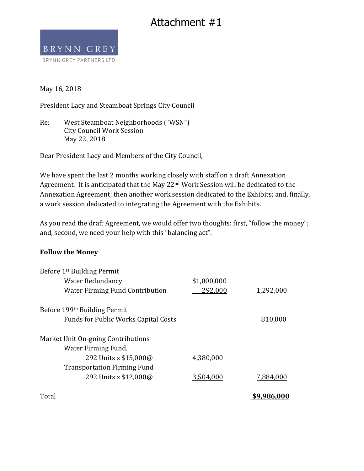## Attachment #1



May 16, 2018

President Lacy and Steamboat Springs City Council

Re: West Steamboat Neighborhoods ("WSN") City Council Work Session May 22, 2018

Dear President Lacy and Members of the City Council,

We have spent the last 2 months working closely with staff on a draft Annexation Agreement. It is anticipated that the May 22<sup>nd</sup> Work Session will be dedicated to the Annexation Agreement; then another work session dedicated to the Exhibits; and, finally, a work session dedicated to integrating the Agreement with the Exhibits.

As you read the draft Agreement, we would offer two thoughts: first, "follow the money"; and, second, we need your help with this "balancing act".

## **Follow the Money**

| Before 1 <sup>st</sup> Building Permit      |             |             |
|---------------------------------------------|-------------|-------------|
| Water Redundancy                            | \$1,000,000 |             |
| <b>Water Firming Fund Contribution</b>      | 292,000     | 1,292,000   |
| Before 199 <sup>th</sup> Building Permit    |             |             |
| <b>Funds for Public Works Capital Costs</b> |             | 810,000     |
| Market Unit On-going Contributions          |             |             |
| Water Firming Fund,                         |             |             |
| 292 Units x \$15,000@                       | 4,380,000   |             |
| <b>Transportation Firming Fund</b>          |             |             |
| 292 Units x \$12,000@                       | 3,504,000   | 7,884,000   |
| Total                                       |             | \$9,986,000 |